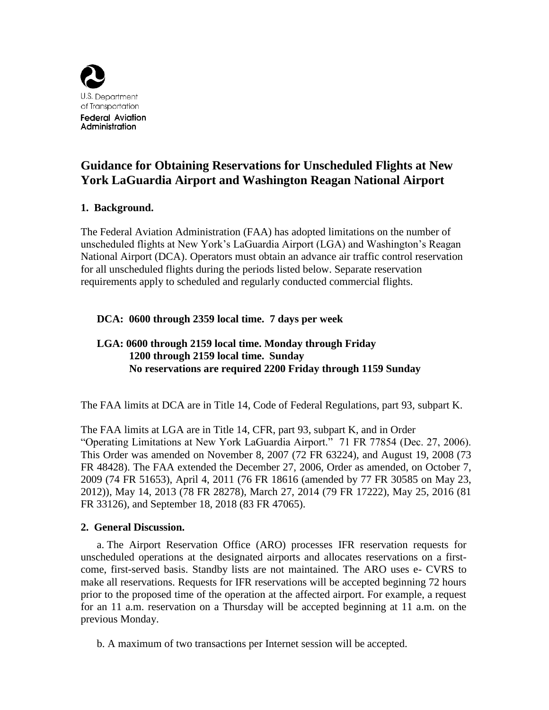

# **Guidance for Obtaining Reservations for Unscheduled Flights at New York LaGuardia Airport and Washington Reagan National Airport**

# **1. Background.**

The Federal Aviation Administration (FAA) has adopted limitations on the number of unscheduled flights at New York's LaGuardia Airport (LGA) and Washington's Reagan National Airport (DCA). Operators must obtain an advance air traffic control reservation for all unscheduled flights during the periods listed below. Separate reservation requirements apply to scheduled and regularly conducted commercial flights.

### **DCA: 0600 through 2359 local time. 7 days per week**

# **LGA: 0600 through 2159 local time. Monday through Friday 1200 through 2159 local time. Sunday No reservations are required 2200 Friday through 1159 Sunday**

The FAA limits at DCA are in Title 14, Code of Federal Regulations, part 93, subpart K.

The FAA limits at LGA are in Title 14, CFR, part 93, subpart K, and in Order "Operating Limitations at New York LaGuardia Airport." 71 FR 77854 (Dec. 27, 2006). This Order was amended on November 8, 2007 (72 FR 63224), and August 19, 2008 (73 FR 48428). The FAA extended the December 27, 2006, Order as amended, on October 7, 2009 (74 FR 51653), April 4, 2011 (76 FR 18616 (amended by 77 FR 30585 on May 23, 2012)), May 14, 2013 (78 FR 28278), March 27, 2014 (79 FR 17222), May 25, 2016 (81 FR 33126), and September 18, 2018 (83 FR 47065).

### **2. General Discussion.**

a. The Airport Reservation Office (ARO) processes IFR reservation requests for unscheduled operations at the designated airports and allocates reservations on a firstcome, first-served basis. Standby lists are not maintained. The ARO uses e- CVRS to make all reservations. Requests for IFR reservations will be accepted beginning 72 hours prior to the proposed time of the operation at the affected airport. For example, a request for an 11 a.m. reservation on a Thursday will be accepted beginning at 11 a.m. on the previous Monday.

b. A maximum of two transactions per Internet session will be accepted.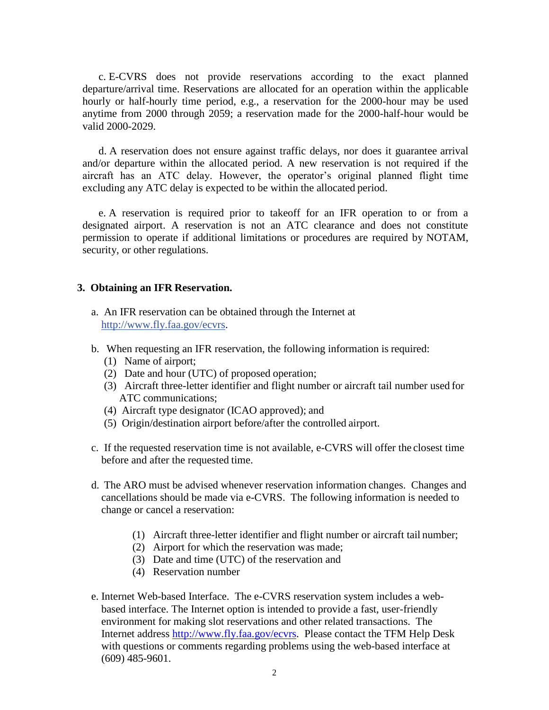c. E-CVRS does not provide reservations according to the exact planned departure/arrival time. Reservations are allocated for an operation within the applicable hourly or half-hourly time period, e.g., a reservation for the 2000-hour may be used anytime from 2000 through 2059; a reservation made for the 2000-half-hour would be valid 2000-2029.

d. A reservation does not ensure against traffic delays, nor does it guarantee arrival and/or departure within the allocated period. A new reservation is not required if the aircraft has an ATC delay. However, the operator's original planned flight time excluding any ATC delay is expected to be within the allocated period.

e. A reservation is required prior to takeoff for an IFR operation to or from a designated airport. A reservation is not an ATC clearance and does not constitute permission to operate if additional limitations or procedures are required by NOTAM, security, or other regulations.

#### **3. Obtaining an IFR Reservation.**

- a. An IFR reservation can be obtained through the Internet at [http://www.fly.faa.gov/ecvrs.](http://www.fly.faa.gov/ecvrs)
- b. When requesting an IFR reservation, the following information is required:
	- (1) Name of airport;
	- (2) Date and hour (UTC) of proposed operation;
	- (3) Aircraft three-letter identifier and flight number or aircraft tail number used for ATC communications;
	- (4) Aircraft type designator (ICAO approved); and
	- (5) Origin/destination airport before/after the controlled airport.
- c. If the requested reservation time is not available, e-CVRS will offer the closest time before and after the requested time.
- d. The ARO must be advised whenever reservation information changes. Changes and cancellations should be made via e-CVRS. The following information is needed to change or cancel a reservation:
	- (1) Aircraft three-letter identifier and flight number or aircraft tail number;
	- (2) Airport for which the reservation was made;
	- (3) Date and time (UTC) of the reservation and
	- (4) Reservation number
- e. Internet Web-based Interface. The e-CVRS reservation system includes a webbased interface. The Internet option is intended to provide a fast, user-friendly environment for making slot reservations and other related transactions. The Internet address [http://www.fly.faa.gov/ecvrs.](http://www.fly.faa.gov/ecvrs) Please contact the TFM Help Desk with questions or comments regarding problems using the web-based interface at (609) 485-9601.